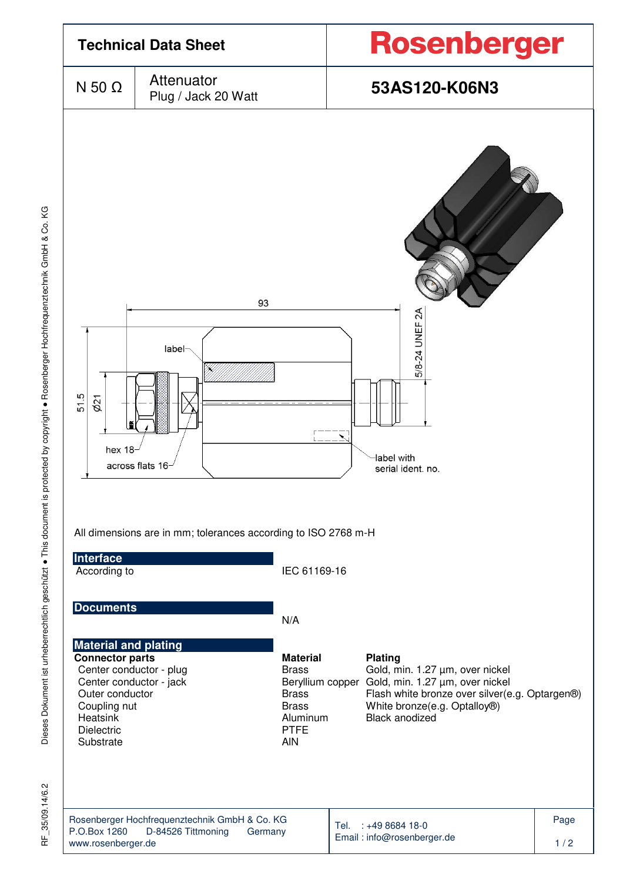

35/09.14/6.2 눈